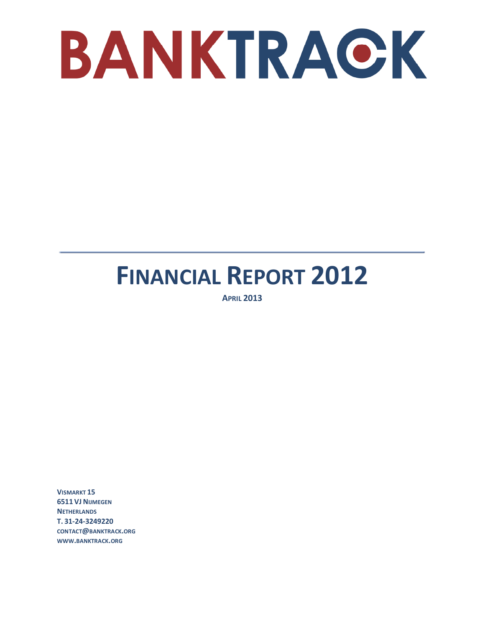

# **FINANCIAL REPORT 2012**

**APRIL 2013** 

**VISMARKT 15 6511 VJ NIJMEGEN NETHERLANDS T. 31-24-3249220 CONTACT@BANKTRACK.ORG WWW.BANKTRACK.ORG**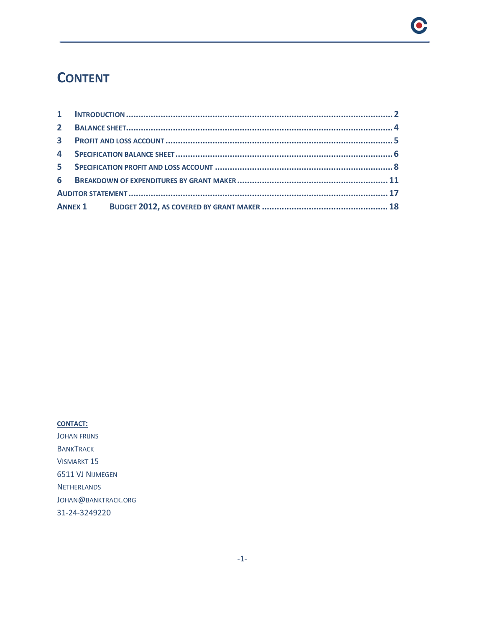### **CONTENT**

 $\bullet$ 

#### **CONTACT:**

JOHAN FRIJNS **BANKTRACK** VISMARKT 15 6511 VJ NIJMEGEN **NETHERLANDS** JOHAN@BANKTRACK.ORG 31-24-3249220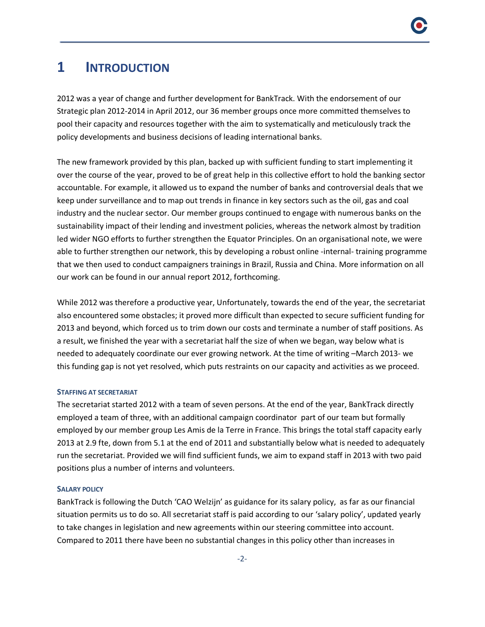### **1 INTRODUCTION**

2012 was a year of change and further development for BankTrack. With the endorsement of our Strategic plan 2012-2014 in April 2012, our 36 member groups once more committed themselves to pool their capacity and resources together with the aim to systematically and meticulously track the policy developments and business decisions of leading international banks.

The new framework provided by this plan, backed up with sufficient funding to start implementing it over the course of the year, proved to be of great help in this collective effort to hold the banking sector accountable. For example, it allowed us to expand the number of banks and controversial deals that we keep under surveillance and to map out trends in finance in key sectors such as the oil, gas and coal industry and the nuclear sector. Our member groups continued to engage with numerous banks on the sustainability impact of their lending and investment policies, whereas the network almost by tradition led wider NGO efforts to further strengthen the Equator Principles. On an organisational note, we were able to further strengthen our network, this by developing a robust online -internal- training programme that we then used to conduct campaigners trainings in Brazil, Russia and China. More information on all our work can be found in our annual report 2012, forthcoming.

While 2012 was therefore a productive year, Unfortunately, towards the end of the year, the secretariat also encountered some obstacles; it proved more difficult than expected to secure sufficient funding for 2013 and beyond, which forced us to trim down our costs and terminate a number of staff positions. As a result, we finished the year with a secretariat half the size of when we began, way below what is needed to adequately coordinate our ever growing network. At the time of writing –March 2013- we this funding gap is not yet resolved, which puts restraints on our capacity and activities as we proceed.

#### **STAFFING AT SECRETARIAT**

The secretariat started 2012 with a team of seven persons. At the end of the year, BankTrack directly employed a team of three, with an additional campaign coordinator part of our team but formally employed by our member group Les Amis de la Terre in France. This brings the total staff capacity early 2013 at 2.9 fte, down from 5.1 at the end of 2011 and substantially below what is needed to adequately run the secretariat. Provided we will find sufficient funds, we aim to expand staff in 2013 with two paid positions plus a number of interns and volunteers.

#### **SALARY POLICY**

BankTrack is following the Dutch 'CAO Welzijn' as guidance for its salary policy, as far as our financial situation permits us to do so. All secretariat staff is paid according to our 'salary policy', updated yearly to take changes in legislation and new agreements within our steering committee into account. Compared to 2011 there have been no substantial changes in this policy other than increases in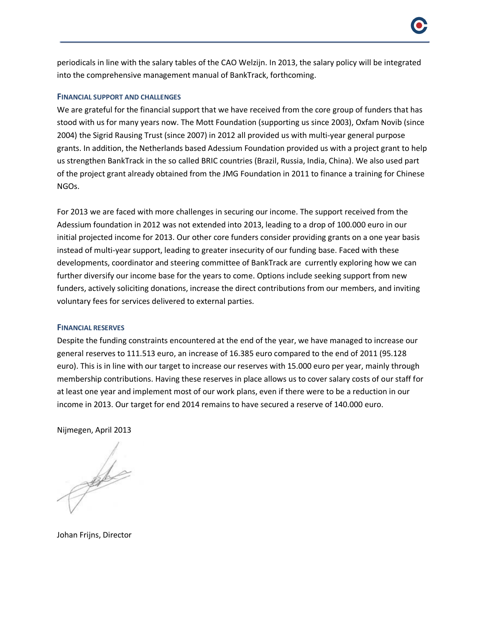periodicals in line with the salary tables of the CAO Welzijn. In 2013, the salary policy will be integrated into the comprehensive management manual of BankTrack, forthcoming.

### **FINANCIAL SUPPORT AND CHALLENGES**

We are grateful for the financial support that we have received from the core group of funders that has stood with us for many years now. The Mott Foundation (supporting us since 2003), Oxfam Novib (since 2004) the Sigrid Rausing Trust (since 2007) in 2012 all provided us with multi-year general purpose grants. In addition, the Netherlands based Adessium Foundation provided us with a project grant to help us strengthen BankTrack in the so called BRIC countries (Brazil, Russia, India, China). We also used part of the project grant already obtained from the JMG Foundation in 2011 to finance a training for Chinese NGOs.

For 2013 we are faced with more challenges in securing our income. The support received from the Adessium foundation in 2012 was not extended into 2013, leading to a drop of 100.000 euro in our initial projected income for 2013. Our other core funders consider providing grants on a one year basis instead of multi-year support, leading to greater insecurity of our funding base. Faced with these developments, coordinator and steering committee of BankTrack are currently exploring how we can further diversify our income base for the years to come. Options include seeking support from new funders, actively soliciting donations, increase the direct contributions from our members, and inviting voluntary fees for services delivered to external parties.

### **FINANCIAL RESERVES**

Despite the funding constraints encountered at the end of the year, we have managed to increase our general reserves to 111.513 euro, an increase of 16.385 euro compared to the end of 2011 (95.128 euro). This is in line with our target to increase our reserves with 15.000 euro per year, mainly through membership contributions. Having these reserves in place allows us to cover salary costs of our staff for at least one year and implement most of our work plans, even if there were to be a reduction in our income in 2013. Our target for end 2014 remains to have secured a reserve of 140.000 euro.

Nijmegen, April 2013

gele

Johan Frijns, Director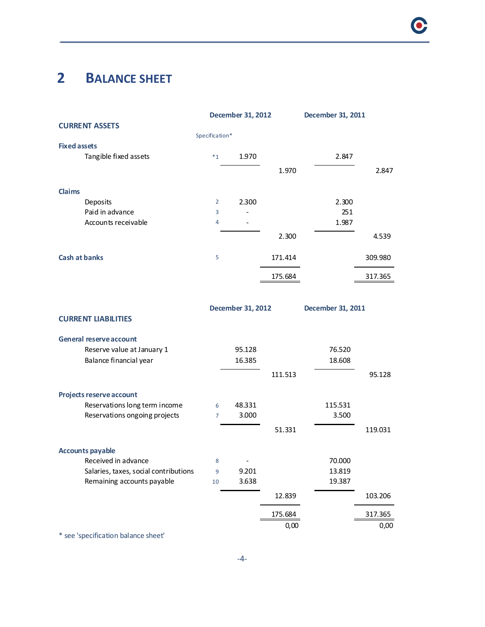# **2 BALANCE SHEET**

|                                       |                | <b>December 31, 2012</b> |         | December 31, 2011 |         |
|---------------------------------------|----------------|--------------------------|---------|-------------------|---------|
| <b>CURRENT ASSETS</b>                 |                |                          |         |                   |         |
|                                       | Specification* |                          |         |                   |         |
| <b>Fixed assets</b>                   |                |                          |         |                   |         |
| Tangible fixed assets                 | $*_{1}$        | 1.970                    |         | 2.847             |         |
|                                       |                |                          | 1.970   |                   | 2.847   |
|                                       |                |                          |         |                   |         |
| Claims                                |                |                          |         |                   |         |
| Deposits                              | 2              | 2.300                    |         | 2.300             |         |
| Paid in advance                       | $\overline{3}$ |                          |         | 251               |         |
| Accounts receivable                   | 4              |                          |         | 1.987             |         |
|                                       |                |                          | 2.300   |                   | 4.539   |
| <b>Cash at banks</b>                  | 5              |                          | 171.414 |                   | 309.980 |
|                                       |                |                          | 175.684 |                   | 317.365 |
|                                       |                |                          |         |                   |         |
|                                       |                |                          |         |                   |         |
|                                       |                | December 31, 2012        |         | December 31, 2011 |         |
| <b>CURRENT LIABILITIES</b>            |                |                          |         |                   |         |
| <b>General reserve account</b>        |                |                          |         |                   |         |
| Reserve value at January 1            |                | 95.128                   |         | 76.520            |         |
| Balance financial year                |                | 16.385                   |         | 18.608            |         |
|                                       |                |                          | 111.513 |                   | 95.128  |
|                                       |                |                          |         |                   |         |
| Projects reserve account              |                |                          |         |                   |         |
| Reservations long term income         | 6              | 48.331                   |         | 115.531           |         |
| Reservations ongoing projects         | $\overline{7}$ | 3.000                    |         | 3.500             |         |
|                                       |                |                          | 51.331  |                   | 119.031 |
|                                       |                |                          |         |                   |         |
| <b>Accounts payable</b>               |                |                          |         |                   |         |
| Received in advance                   | 8              |                          |         | 70.000            |         |
| Salaries, taxes, social contributions | 9              | 9.201                    |         | 13.819            |         |
| Remaining accounts payable            | 10             | 3.638                    |         | 19.387            |         |
|                                       |                |                          |         |                   |         |
|                                       |                |                          | 12.839  |                   | 103.206 |
|                                       |                |                          | 175.684 |                   | 317.365 |
|                                       |                |                          | 0,00    |                   | 0,00    |

\* see 'specification balance sheet'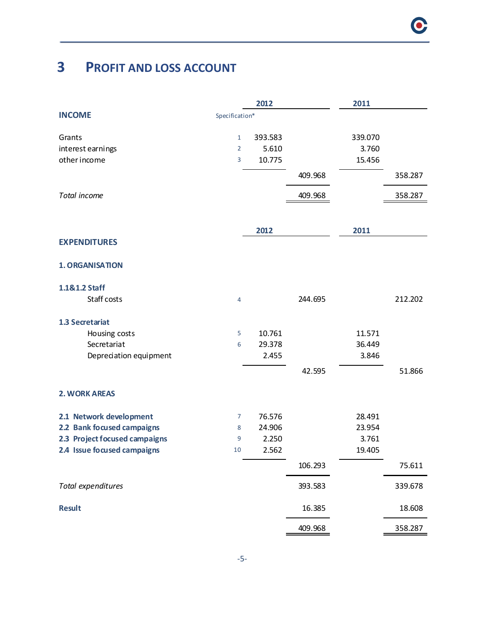# **3 PROFIT AND LOSS ACCOUNT**

|                               |                | 2012    |         | 2011    |         |
|-------------------------------|----------------|---------|---------|---------|---------|
| <b>INCOME</b>                 | Specification* |         |         |         |         |
| Grants                        | $\mathbf{1}$   | 393.583 |         | 339.070 |         |
| interest earnings             | $\overline{2}$ | 5.610   |         | 3.760   |         |
| other income                  | 3              | 10.775  |         | 15.456  |         |
|                               |                |         | 409.968 |         | 358.287 |
| Total income                  |                |         | 409.968 |         | 358.287 |
|                               |                |         |         |         |         |
|                               |                | 2012    |         | 2011    |         |
| <b>EXPENDITURES</b>           |                |         |         |         |         |
| <b>1. ORGANISATION</b>        |                |         |         |         |         |
| 1.1&1.2 Staff                 |                |         |         |         |         |
| Staff costs                   | $\overline{4}$ |         | 244.695 |         | 212.202 |
| 1.3 Secretariat               |                |         |         |         |         |
| Housing costs                 | $\overline{5}$ | 10.761  |         | 11.571  |         |
| Secretariat                   | 6              | 29.378  |         | 36.449  |         |
| Depreciation equipment        |                | 2.455   |         | 3.846   |         |
|                               |                |         | 42.595  |         | 51.866  |
| <b>2. WORK AREAS</b>          |                |         |         |         |         |
| 2.1 Network development       | 7              | 76.576  |         | 28.491  |         |
| 2.2 Bank focused campaigns    | 8              | 24.906  |         | 23.954  |         |
| 2.3 Project focused campaigns | 9              | 2.250   |         | 3.761   |         |
| 2.4 Issue focused campaigns   | 10             | 2.562   |         | 19.405  |         |
|                               |                |         | 106.293 |         | 75.611  |
| Total expenditures            |                |         | 393.583 |         | 339.678 |
| <b>Result</b>                 |                |         | 16.385  |         | 18.608  |
|                               |                |         | 409.968 |         | 358.287 |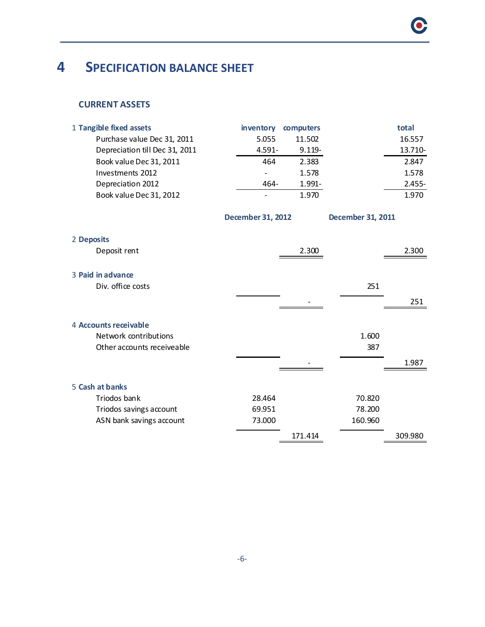# **4 SPECIFICATION BALANCE SHEET**

### **CURRENT ASSETS**

| 1 Tangible fixed assets        | inventory                | computers |                          | total   |
|--------------------------------|--------------------------|-----------|--------------------------|---------|
| Purchase value Dec 31, 2011    | 5.055                    | 11.502    |                          | 16.557  |
| Depreciation till Dec 31, 2011 | $4.591 -$                | $9.119 -$ |                          | 13.710- |
| Book value Dec 31, 2011        | 464                      | 2.383     |                          | 2.847   |
| Investments 2012               |                          | 1.578     |                          | 1.578   |
| Depreciation 2012              | 464-                     | 1.991-    |                          | 2.455-  |
| Book value Dec 31, 2012        |                          | 1.970     |                          | 1.970   |
|                                | <b>December 31, 2012</b> |           | <b>December 31, 2011</b> |         |
| 2 Deposits                     |                          |           |                          |         |
| Deposit rent                   |                          | 2.300     |                          | 2.300   |
| 3 Paid in advance              |                          |           |                          |         |
| Div. office costs              |                          |           | 251                      |         |
|                                |                          |           |                          | 251     |
|                                |                          |           |                          |         |
| 4 Accounts receivable          |                          |           |                          |         |
| Network contributions          |                          |           | 1.600                    |         |
| Other accounts receiveable     |                          |           | 387                      |         |
|                                |                          |           |                          | 1.987   |
|                                |                          |           |                          |         |
| 5 Cash at banks                |                          |           |                          |         |
| Triodos bank                   | 28.464                   |           | 70.820                   |         |
| Triodos savings account        | 69.951                   |           | 78.200                   |         |
| ASN bank savings account       | 73.000                   |           | 160.960                  |         |
|                                |                          | 171.414   |                          | 309.980 |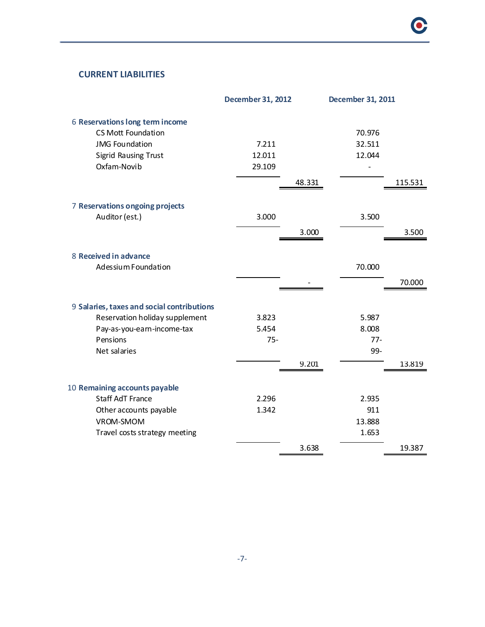### **CURRENT LIABILITIES**

|                                            | <b>December 31, 2012</b> |        | <b>December 31, 2011</b> |         |
|--------------------------------------------|--------------------------|--------|--------------------------|---------|
| 6 Reservations long term income            |                          |        |                          |         |
| <b>CS Mott Foundation</b>                  |                          |        | 70.976                   |         |
| <b>JMG Foundation</b>                      | 7.211                    |        | 32.511                   |         |
| <b>Sigrid Rausing Trust</b>                | 12.011                   |        | 12.044                   |         |
| Oxfam-Novib                                | 29.109                   |        |                          |         |
|                                            |                          | 48.331 |                          | 115.531 |
|                                            |                          |        |                          |         |
| 7 Reservations ongoing projects            |                          |        |                          |         |
| Auditor (est.)                             | 3.000                    |        | 3.500                    |         |
|                                            |                          |        |                          |         |
|                                            |                          | 3.000  |                          | 3.500   |
|                                            |                          |        |                          |         |
| 8 Received in advance                      |                          |        |                          |         |
| Adessium Foundation                        |                          |        | 70.000                   |         |
|                                            |                          |        |                          | 70.000  |
|                                            |                          |        |                          |         |
| 9 Salaries, taxes and social contributions |                          |        |                          |         |
| Reservation holiday supplement             | 3.823                    |        | 5.987                    |         |
| Pay-as-you-earn-income-tax                 | 5.454                    |        | 8.008                    |         |
| Pensions                                   | $75 -$                   |        | $77 -$                   |         |
| Net salaries                               |                          |        | 99-                      |         |
|                                            |                          | 9.201  |                          | 13.819  |
|                                            |                          |        |                          |         |
| 10 Remaining accounts payable              |                          |        |                          |         |
| <b>Staff AdT France</b>                    | 2.296                    |        | 2.935                    |         |
| Other accounts payable                     | 1.342                    |        | 911                      |         |
| VROM-SMOM                                  |                          |        | 13.888                   |         |
| Travel costs strategy meeting              |                          |        | 1.653                    |         |
|                                            |                          | 3.638  |                          | 19.387  |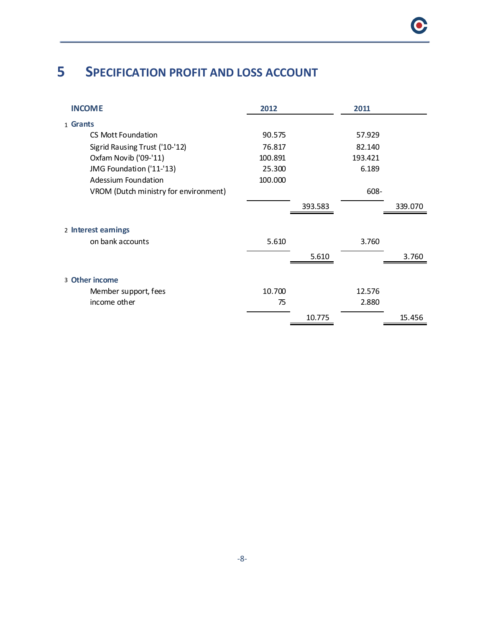# **5 SPECIFICATION PROFIT AND LOSS ACCOUNT**

| <b>INCOME</b>                         | 2012    |         | 2011    |         |
|---------------------------------------|---------|---------|---------|---------|
| 1 Grants                              |         |         |         |         |
| CS Mott Foundation                    | 90.575  |         | 57.929  |         |
| Sigrid Rausing Trust ('10-'12)        | 76.817  |         | 82.140  |         |
| Oxfam Novib ('09-'11)                 | 100.891 |         | 193.421 |         |
| JMG Foundation ('11-'13)              | 25.300  |         | 6.189   |         |
| Adessium Foundation                   | 100.000 |         |         |         |
| VROM (Dutch ministry for environment) |         |         | 608-    |         |
|                                       |         | 393.583 |         | 339.070 |
| 2 Interest earnings                   |         |         |         |         |
| on bank accounts                      | 5.610   |         | 3.760   |         |
|                                       |         | 5.610   |         | 3.760   |
| 3 Other income                        |         |         |         |         |
| Member support, fees                  | 10.700  |         | 12.576  |         |
| income other                          | 75      |         | 2.880   |         |
|                                       |         | 10.775  |         | 15.456  |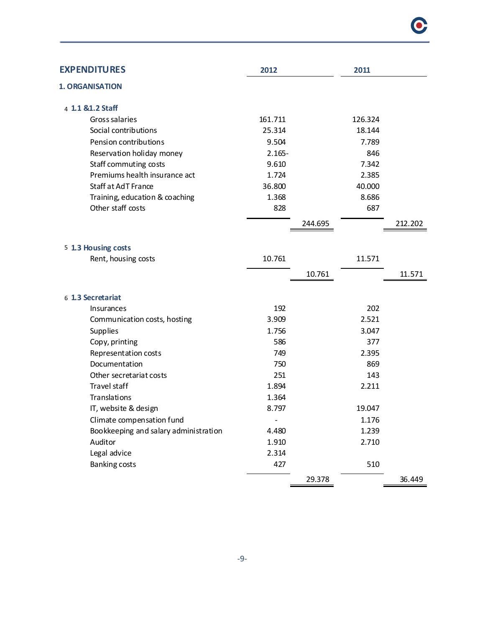| <b>EXPENDITURES</b>                   | 2012      |         | 2011    |         |
|---------------------------------------|-----------|---------|---------|---------|
| <b>1. ORGANISATION</b>                |           |         |         |         |
| 4 1.1 & 1.2 Staff                     |           |         |         |         |
| Gross salaries                        | 161.711   |         | 126.324 |         |
| Social contributions                  | 25.314    |         | 18.144  |         |
| Pension contributions                 | 9.504     |         | 7.789   |         |
| Reservation holiday money             | $2.165 -$ |         | 846     |         |
| Staff commuting costs                 | 9.610     |         | 7.342   |         |
| Premiums health insurance act         | 1.724     |         | 2.385   |         |
| Staff at AdT France                   | 36.800    |         | 40.000  |         |
| Training, education & coaching        | 1.368     |         | 8.686   |         |
| Other staff costs                     | 828       |         | 687     |         |
|                                       |           | 244.695 |         | 212.202 |
| 5 1.3 Housing costs                   |           |         |         |         |
| Rent, housing costs                   | 10.761    |         | 11.571  |         |
|                                       |           | 10.761  |         | 11.571  |
| 6 1.3 Secretariat                     |           |         |         |         |
| <b>Insurances</b>                     | 192       |         | 202     |         |
| Communication costs, hosting          | 3.909     |         | 2.521   |         |
| Supplies                              | 1.756     |         | 3.047   |         |
| Copy, printing                        | 586       |         | 377     |         |
| Representation costs                  | 749       |         | 2.395   |         |
| Documentation                         | 750       |         | 869     |         |
| Other secretariat costs               | 251       |         | 143     |         |
| Travel staff                          | 1.894     |         | 2.211   |         |
| Translations                          | 1.364     |         |         |         |
| IT, website & design                  | 8.797     |         | 19.047  |         |
| Climate compensation fund             |           |         | 1.176   |         |
| Bookkeeping and salary administration | 4.480     |         | 1.239   |         |
| Auditor                               | 1.910     |         | 2.710   |         |

Banking costs 510

36.449 29.378

C

Legal advice 2.314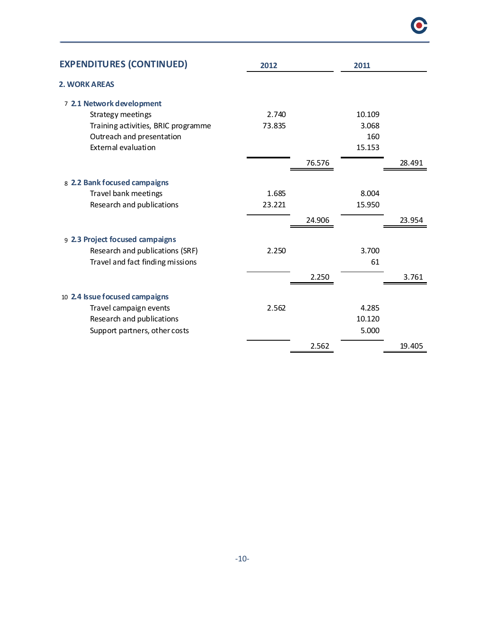| <b>EXPENDITURES (CONTINUED)</b>     | 2012   |        | 2011   |        |
|-------------------------------------|--------|--------|--------|--------|
| <b>2. WORK AREAS</b>                |        |        |        |        |
| 7 2.1 Network development           |        |        |        |        |
| Strategy meetings                   | 2.740  |        | 10.109 |        |
| Training activities, BRIC programme | 73.835 |        | 3.068  |        |
| Outreach and presentation           |        |        | 160    |        |
| External evaluation                 |        |        | 15.153 |        |
|                                     |        | 76.576 |        | 28.491 |
| 8 2.2 Bank focused campaigns        |        |        |        |        |
| Travel bank meetings                | 1.685  |        | 8.004  |        |
| Research and publications           | 23.221 |        | 15.950 |        |
|                                     |        | 24.906 |        | 23.954 |
| 9 2.3 Project focused campaigns     |        |        |        |        |
| Research and publications (SRF)     | 2.250  |        | 3.700  |        |
| Travel and fact finding missions    |        |        | 61     |        |
|                                     |        | 2.250  |        | 3.761  |
| 10 2.4 Issue focused campaigns      |        |        |        |        |
| Travel campaign events              | 2.562  |        | 4.285  |        |
| Research and publications           |        |        | 10.120 |        |
| Support partners, other costs       |        |        | 5.000  |        |
|                                     |        | 2.562  |        | 19.405 |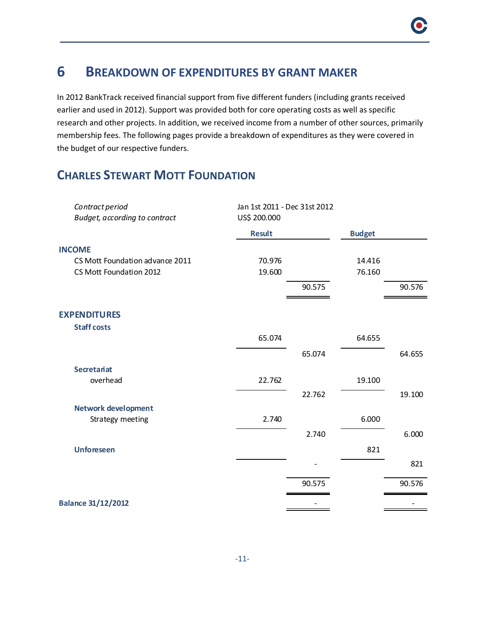### **6 BREAKDOWN OF EXPENDITURES BY GRANT MAKER**

In 2012 BankTrack received financial support from five different funders (including grants received earlier and used in 2012). Support was provided both for core operating costs as well as specific research and other projects. In addition, we received income from a number of other sources, primarily membership fees. The following pages provide a breakdown of expenditures as they were covered in the budget of our respective funders.

### **CHARLES STEWART MOTT FOUNDATION**

| Contract period<br>Budget, according to contract | Jan 1st 2011 - Dec 31st 2012<br>US\$ 200.000 |        |               |        |
|--------------------------------------------------|----------------------------------------------|--------|---------------|--------|
|                                                  | <b>Result</b>                                |        | <b>Budget</b> |        |
| <b>INCOME</b>                                    |                                              |        |               |        |
| CS Mott Foundation advance 2011                  | 70.976                                       |        | 14.416        |        |
| CS Mott Foundation 2012                          | 19.600                                       |        | 76.160        |        |
|                                                  |                                              | 90.575 |               | 90.576 |
| <b>EXPENDITURES</b>                              |                                              |        |               |        |
| <b>Staff costs</b>                               |                                              |        |               |        |
|                                                  | 65.074                                       |        | 64.655        |        |
|                                                  |                                              | 65.074 |               | 64.655 |
| <b>Secretariat</b>                               |                                              |        |               |        |
| overhead                                         | 22.762                                       |        | 19.100        |        |
|                                                  |                                              | 22.762 |               | 19.100 |
| <b>Network development</b>                       |                                              |        |               |        |
| Strategy meeting                                 | 2.740                                        |        | 6.000         |        |
|                                                  |                                              | 2.740  |               | 6.000  |
| <b>Unforeseen</b>                                |                                              |        | 821           |        |
|                                                  |                                              |        |               | 821    |
|                                                  |                                              | 90.575 |               | 90.576 |
| <b>Balance 31/12/2012</b>                        |                                              |        |               |        |
|                                                  |                                              |        |               |        |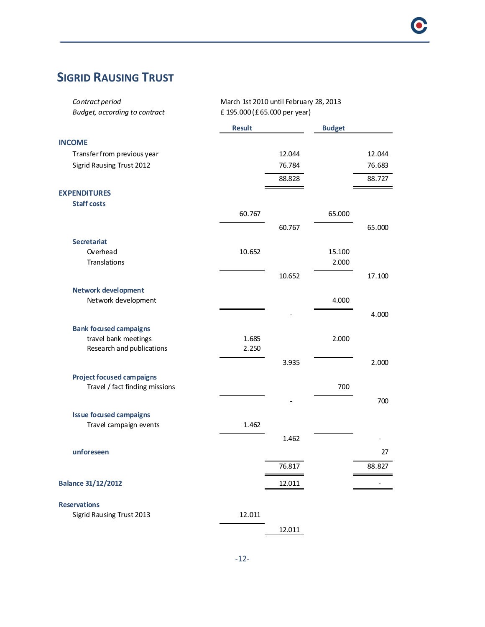# **SIGRID RAUSING TRUST**

| Contract period<br>Budget, according to contract | March 1st 2010 until February 28, 2013<br>£ 195.000 (£ 65.000 per year) |        |               |        |
|--------------------------------------------------|-------------------------------------------------------------------------|--------|---------------|--------|
|                                                  | <b>Result</b>                                                           |        | <b>Budget</b> |        |
| <b>INCOME</b>                                    |                                                                         |        |               |        |
| Transfer from previous year                      |                                                                         | 12.044 |               | 12.044 |
| Sigrid Rausing Trust 2012                        |                                                                         | 76.784 |               | 76.683 |
|                                                  |                                                                         | 88.828 |               | 88.727 |
| <b>EXPENDITURES</b>                              |                                                                         |        |               |        |
| <b>Staff costs</b>                               |                                                                         |        |               |        |
|                                                  | 60.767                                                                  |        | 65.000        |        |
|                                                  |                                                                         | 60.767 |               | 65.000 |
| <b>Secretariat</b>                               |                                                                         |        |               |        |
| Overhead                                         | 10.652                                                                  |        | 15.100        |        |
| Translations                                     |                                                                         |        | 2.000         |        |
|                                                  |                                                                         | 10.652 |               | 17.100 |
| <b>Network development</b>                       |                                                                         |        |               |        |
| Network development                              |                                                                         |        | 4.000         |        |
|                                                  |                                                                         |        |               | 4.000  |
| <b>Bank focused campaigns</b>                    |                                                                         |        |               |        |
| travel bank meetings                             | 1.685                                                                   |        | 2.000         |        |
| Research and publications                        | 2.250                                                                   |        |               |        |
|                                                  |                                                                         | 3.935  |               | 2.000  |
| <b>Project focused campaigns</b>                 |                                                                         |        |               |        |
| Travel / fact finding missions                   |                                                                         |        | 700           |        |
|                                                  |                                                                         |        |               | 700    |
| <b>Issue focused campaigns</b>                   |                                                                         |        |               |        |
| Travel campaign events                           | 1.462                                                                   |        |               |        |
|                                                  |                                                                         | 1.462  |               |        |
| unforeseen                                       |                                                                         |        |               | 27     |
|                                                  |                                                                         |        |               |        |
|                                                  |                                                                         | 76.817 |               | 88.827 |
| <b>Balance 31/12/2012</b>                        |                                                                         | 12.011 |               |        |
|                                                  |                                                                         |        |               |        |
| <b>Reservations</b>                              |                                                                         |        |               |        |
| Sigrid Rausing Trust 2013                        | 12.011                                                                  |        |               |        |
|                                                  |                                                                         | 12.011 |               |        |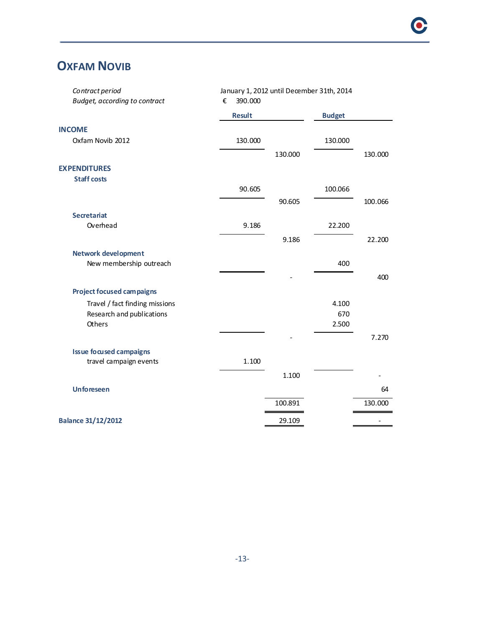### **OXFAM NOVIB**

| Contract period                  | January 1, 2012 until December 31th, 2014 |         |               |         |
|----------------------------------|-------------------------------------------|---------|---------------|---------|
| Budget, according to contract    | 390.000<br>€                              |         |               |         |
|                                  | <b>Result</b>                             |         | <b>Budget</b> |         |
| <b>INCOME</b>                    |                                           |         |               |         |
| Oxfam Novib 2012                 | 130.000                                   |         | 130.000       |         |
|                                  |                                           | 130.000 |               | 130.000 |
| <b>EXPENDITURES</b>              |                                           |         |               |         |
| <b>Staff costs</b>               |                                           |         |               |         |
|                                  | 90.605                                    |         | 100.066       |         |
|                                  |                                           | 90.605  |               | 100.066 |
| <b>Secretariat</b>               |                                           |         |               |         |
| Overhead                         | 9.186                                     |         | 22.200        |         |
|                                  |                                           | 9.186   |               | 22.200  |
| <b>Network development</b>       |                                           |         |               |         |
| New membership outreach          |                                           |         | 400           |         |
|                                  |                                           |         |               | 400     |
| <b>Project focused campaigns</b> |                                           |         |               |         |
| Travel / fact finding missions   |                                           |         | 4.100         |         |
| Research and publications        |                                           |         | 670           |         |
| Others                           |                                           |         | 2.500         |         |
|                                  |                                           |         |               | 7.270   |
| <b>Issue focused campaigns</b>   |                                           |         |               |         |
| travel campaign events           | 1.100                                     |         |               |         |
|                                  |                                           | 1.100   |               |         |
| <b>Unforeseen</b>                |                                           |         |               | 64      |
|                                  |                                           | 100.891 |               | 130.000 |
|                                  |                                           |         |               |         |
| <b>Balance 31/12/2012</b>        |                                           | 29.109  |               |         |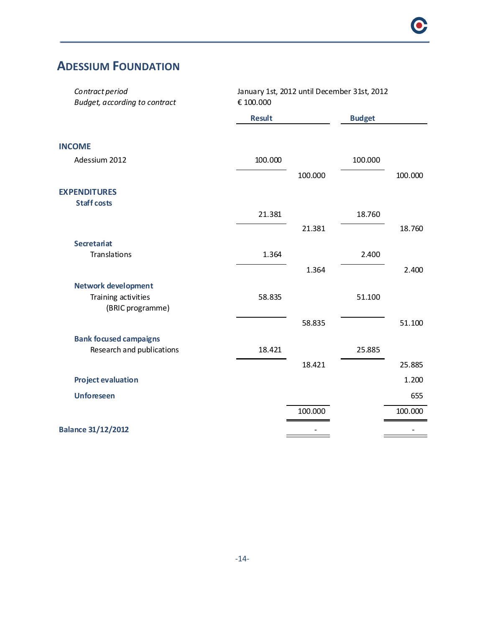### **ADESSIUM FOUNDATION**

| Contract period<br>Budget, according to contract | January 1st, 2012 until December 31st, 2012<br>€ 100.000 |         |               |         |  |
|--------------------------------------------------|----------------------------------------------------------|---------|---------------|---------|--|
|                                                  | <b>Result</b>                                            |         | <b>Budget</b> |         |  |
| <b>INCOME</b>                                    |                                                          |         |               |         |  |
| Adessium 2012                                    | 100.000                                                  |         | 100.000       |         |  |
|                                                  |                                                          | 100.000 |               | 100.000 |  |
| <b>EXPENDITURES</b><br><b>Staff costs</b>        |                                                          |         |               |         |  |
|                                                  | 21.381                                                   |         | 18.760        |         |  |
|                                                  |                                                          | 21.381  |               | 18.760  |  |
| <b>Secretariat</b><br>Translations               | 1.364                                                    |         | 2.400         |         |  |
|                                                  |                                                          | 1.364   |               | 2.400   |  |
| <b>Network development</b>                       |                                                          |         |               |         |  |
| Training activities<br>(BRIC programme)          | 58.835                                                   |         | 51.100        |         |  |
|                                                  |                                                          | 58.835  |               | 51.100  |  |
| <b>Bank focused campaigns</b>                    |                                                          |         |               |         |  |
| Research and publications                        | 18.421                                                   |         | 25.885        |         |  |
|                                                  |                                                          | 18.421  |               | 25.885  |  |
| <b>Project evaluation</b>                        |                                                          |         |               | 1.200   |  |
| <b>Unforeseen</b>                                |                                                          |         |               | 655     |  |
|                                                  |                                                          | 100.000 |               | 100.000 |  |
| <b>Balance 31/12/2012</b>                        |                                                          | ۰       |               |         |  |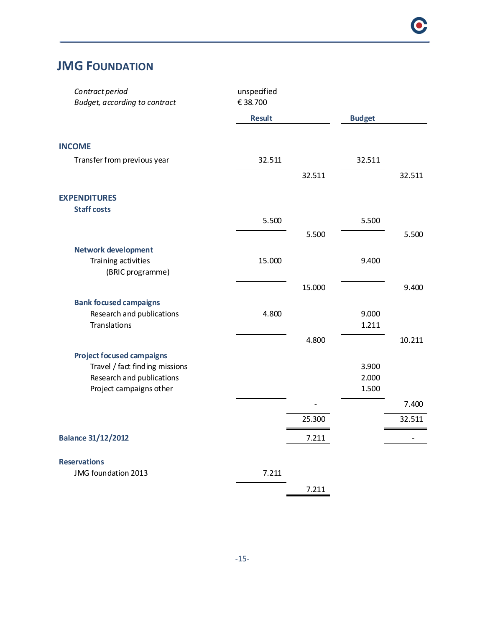### **JMG FOUNDATION**

| Contract period<br><b>Budget, according to contract</b> | unspecified<br>€ 38.700 |        |                |        |
|---------------------------------------------------------|-------------------------|--------|----------------|--------|
|                                                         | <b>Result</b>           |        | <b>Budget</b>  |        |
| <b>INCOME</b>                                           |                         |        |                |        |
| Transfer from previous year                             | 32.511                  |        | 32.511         |        |
|                                                         |                         | 32.511 |                | 32.511 |
| <b>EXPENDITURES</b>                                     |                         |        |                |        |
| <b>Staff costs</b>                                      |                         |        |                |        |
|                                                         | 5.500                   |        | 5.500          |        |
|                                                         |                         | 5.500  |                | 5.500  |
| <b>Network development</b>                              |                         |        |                |        |
| Training activities                                     | 15.000                  |        | 9.400          |        |
| (BRIC programme)                                        |                         |        |                |        |
|                                                         |                         | 15.000 |                | 9.400  |
| <b>Bank focused campaigns</b>                           |                         |        |                |        |
| Research and publications                               | 4.800                   |        | 9.000          |        |
| Translations                                            |                         |        | 1.211          |        |
|                                                         |                         | 4.800  |                | 10.211 |
| <b>Project focused campaigns</b>                        |                         |        |                |        |
| Travel / fact finding missions                          |                         |        | 3.900          |        |
| Research and publications<br>Project campaigns other    |                         |        | 2.000<br>1.500 |        |
|                                                         |                         |        |                |        |
|                                                         |                         |        |                | 7.400  |
|                                                         |                         | 25.300 |                | 32.511 |
| <b>Balance 31/12/2012</b>                               |                         | 7.211  |                |        |
| <b>Reservations</b>                                     |                         |        |                |        |
| JMG foundation 2013                                     | 7.211                   |        |                |        |
|                                                         |                         | 7.211  |                |        |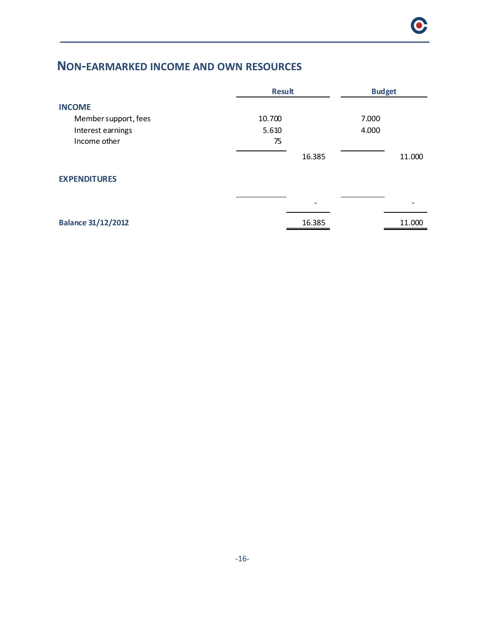### **NON-EARMARKED INCOME AND OWN RESOURCES**

|                           | <b>Result</b> | <b>Budget</b> |
|---------------------------|---------------|---------------|
| <b>INCOME</b>             |               |               |
| Member support, fees      | 10.700        | 7.000         |
| Interest earnings         | 5.610         | 4.000         |
| Income other              | 75            |               |
|                           | 16.385        | 11.000        |
| <b>EXPENDITURES</b>       |               |               |
|                           | -             |               |
| <b>Balance 31/12/2012</b> | 16.385        | 11.000        |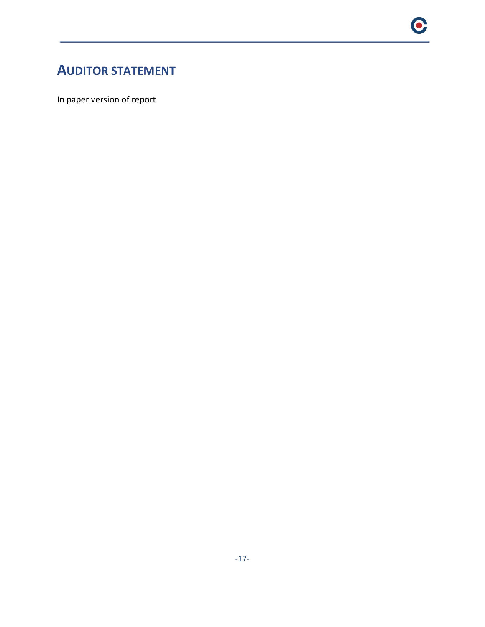### **AUDITOR STATEMENT**

In paper version of report

 $\bullet$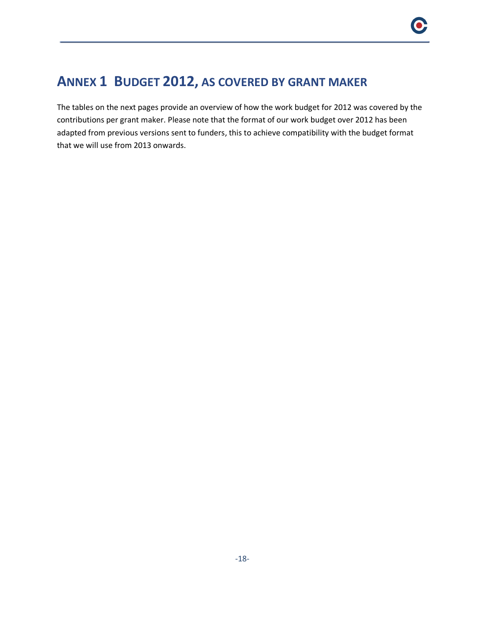### **ANNEX 1 BUDGET 2012, AS COVERED BY GRANT MAKER**

The tables on the next pages provide an overview of how the work budget for 2012 was covered by the contributions per grant maker. Please note that the format of our work budget over 2012 has been adapted from previous versions sent to funders, this to achieve compatibility with the budget format that we will use from 2013 onwards.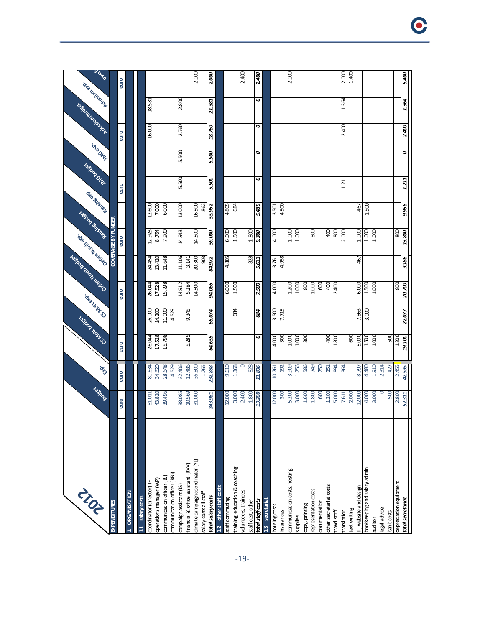| TIST<br><b>EXPENDITURES</b>                                | <b>Joshna</b>    | ique            |            | <b>CHANGIN</b><br><b>Jespin Hours</b> |               | <b>Manufacture Report</b>         | <b>COVERAGE BY FUNDER</b><br><b>CAP SIAON ULEXO</b> | <b>Halburg Bridge</b> | <b>Tesping Out</b><br>ore Buishers | <b>OK</b> SONT |        | <b>Report Follows</b> | 3 Ump<br>oka umsep |
|------------------------------------------------------------|------------------|-----------------|------------|---------------------------------------|---------------|-----------------------------------|-----------------------------------------------------|-----------------------|------------------------------------|----------------|--------|-----------------------|--------------------|
|                                                            | euro             | euro            | euro       |                                       | euro          |                                   | euro                                                |                       | euro                               |                | euro   |                       | euro               |
| <b>ORGANISATION</b>                                        |                  |                 |            |                                       |               |                                   |                                                     |                       |                                    |                |        |                       |                    |
|                                                            |                  |                 |            |                                       |               |                                   |                                                     |                       |                                    |                |        |                       |                    |
| salary costs                                               |                  | 81.634          | 26.044     | 26.000                                | 26.044        | 24.454                            | 12.923                                              |                       |                                    |                |        | 18.581                |                    |
| operations manager (WP)<br>coordinator (director) JF       | 81.011<br>43.820 | 34.620          | 17.528     | 14.200                                | 17528         | 13.420                            | 8.764                                               | 12.600<br>7.000       |                                    |                | 16.000 |                       |                    |
| communication officer (BJ)                                 | 39.496           | 28.648          | 15.798     | 11.000                                | 15.798        | 11.648                            | 7.900                                               | 6.000                 |                                    |                |        |                       |                    |
| communication officer (RB))                                |                  | 4.529           |            | 4.529                                 |               |                                   |                                                     |                       |                                    |                |        |                       |                    |
| campaign assistant (JS)                                    | 38.085           | 32.406          |            |                                       | 14.912        | 11.106                            | 14.913                                              | 13.000                | 5.500                              | 5.500          | 2.760  | 2.800                 |                    |
| financial & office assistant (RVV)                         | 10.569           | 12.486          | 5.285      | 9.345                                 | 5.284         | 3.141                             |                                                     |                       |                                    |                |        |                       |                    |
| dimate campaign coordinator (YL)<br>salary cost sall staff | 31.000           | 1.765<br>36.800 |            |                                       | 14.500        | 20.300<br>$\overline{\mathbf{g}}$ | 14.500                                              | 16.500<br>862         |                                    |                |        |                       | 2.000              |
| total salary costs                                         | 3.981<br>ম       | 232.888         | 64.655     | 65.074                                | 94.066        | 84.972                            | 59.000                                              | 55.962                | 5.500                              | 5.500          | 18.760 | 21.381                | 2.000              |
| 1.2 other staff costs                                      |                  |                 |            |                                       |               |                                   |                                                     |                       |                                    |                |        |                       |                    |
| staff commuting                                            | 12.000           | 9.610           |            |                                       | 6.000         | 4.805                             | 6.000                                               | 508 <sup>+</sup>      |                                    |                |        |                       |                    |
| training, education & coaching                             | 3.000            | 1.368           |            | 88                                    | 1.500         |                                   | 1.500                                               | 684                   |                                    |                |        |                       |                    |
| volunteers, trainees                                       | 2.400            |                 |            |                                       |               |                                   |                                                     |                       |                                    |                |        |                       | 2.400              |
| staff cost, other                                          | 1.800            | 828             |            |                                       |               | 828                               | 1.800                                               |                       |                                    |                |        |                       |                    |
| total staff casts                                          | 9.200            | 11.806          | 0          | 684                                   | 7.500         | £633                              | 9.300                                               | 5.489                 | 0                                  | 0              | ο      | 0                     | 2.400              |
| secretariat<br>$\overline{13}$                             |                  |                 |            |                                       |               |                                   |                                                     |                       |                                    |                |        |                       |                    |
| housing costs                                              | 12.000           | 10.761          | 4.000      | 3.500                                 | 4.000         | 3.761                             | 4.000                                               | 3.501                 |                                    |                |        |                       |                    |
| insurances                                                 | 300              | 192             | 300        | 7.715                                 |               | 4.958                             |                                                     | 4.500                 |                                    |                |        |                       |                    |
| communication costs, hosting                               | 5.200            | 3.909           | 1.000      |                                       | 1.200         |                                   | 1.000                                               |                       |                                    |                |        |                       | 2.000              |
| supplies                                                   | 3.000            | 1.756           | 1.000      |                                       |               |                                   | 1.000                                               |                       |                                    |                |        |                       |                    |
| copy, printing                                             | 1.600            | 586             | 800        |                                       | 800           |                                   |                                                     |                       |                                    |                |        |                       |                    |
| representation costs<br>documentation                      | 1.800<br>600     | 749<br>750      |            |                                       | 1.000<br>600  |                                   | $\overline{80}$                                     |                       |                                    |                |        |                       |                    |
| other secretariat costs                                    | 1.200            | 251             | 400        |                                       | 400           |                                   | $rac{1}{2}$                                         |                       |                                    |                |        |                       |                    |
| travel staff                                               | 5.000            | 1.894           | 1.800      |                                       | 2.400         |                                   | 008                                                 |                       |                                    |                |        |                       |                    |
| translation                                                | 7.611            | 1.364           |            |                                       |               |                                   | 2.000                                               |                       | 1.211                              |                | 2.400  | 1.364                 |                    |
| ext writing                                                | 2.000            |                 | 600        |                                       |               |                                   |                                                     |                       |                                    |                |        |                       | 2.000              |
| IT, website and design                                     | 12.000           | 8.797           | 5.000      | 7.863                                 | 6.000         | 467                               | 1.000                                               | 467                   |                                    |                |        |                       |                    |
| bookkeeping and salary admin                               | 4.000            | 4.480           | 1.500      | 3.000                                 | 1.500         |                                   | 1.000                                               | 1.500                 |                                    |                |        |                       |                    |
| auditor                                                    | 3.000            | 1.910           | 1.000      |                                       | 1.000         |                                   | 1.000                                               |                       |                                    |                |        |                       |                    |
| egal advice                                                |                  | 2.314           |            |                                       |               |                                   |                                                     |                       |                                    |                |        |                       |                    |
| bank costs                                                 | 500              | 427             | 500        |                                       |               |                                   |                                                     |                       |                                    |                |        |                       |                    |
| depreciation equipment                                     | 2.800<br>2.311   | 2.455<br>42.595 | 1.200      | 22.077                                | 800<br>20.700 | 9.186                             | 800<br>13.800                                       | 9.968                 | 1.21                               |                |        |                       |                    |
| total secretariat                                          |                  |                 | $19.100\,$ |                                       |               |                                   |                                                     |                       |                                    |                | 2.400  | 1.364                 | 5.400              |

 $\bullet$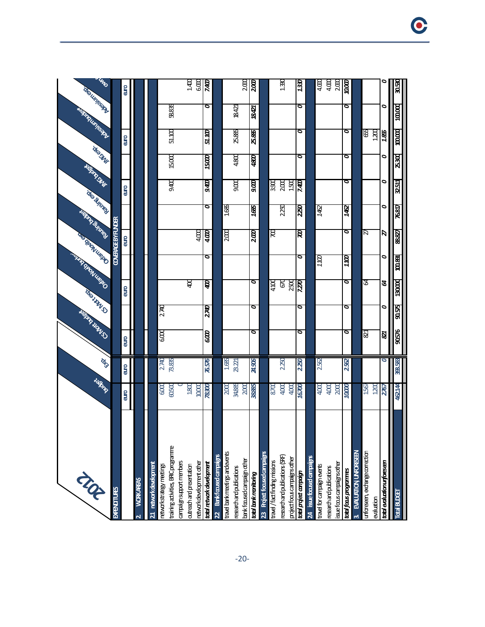| NR                                                    | Jagne         | in 10   |                         | <b>DISTRICTION</b> | <b>GRAND</b> | <b>CERTIFICATION RESIDENCE</b> | <b>DED TIMON LIBERTY</b>  | February 1976 | ido Busines | <b>CAP DWF</b><br><b>ASSISTENCE</b> |         | <b>REGISTERATION</b> | uno<br>Top United Pt. |
|-------------------------------------------------------|---------------|---------|-------------------------|--------------------|--------------|--------------------------------|---------------------------|---------------|-------------|-------------------------------------|---------|----------------------|-----------------------|
| <b>BARTITURES</b>                                     |               |         |                         |                    |              |                                | <b>COVERAGE BY FUNDER</b> |               |             |                                     |         |                      |                       |
|                                                       | euro          | euro    | euro                    |                    | <b>euro</b>  |                                | euro                      |               | euro        |                                     | euro    |                      | ellio                 |
| <b>WORKAREAS</b>                                      |               |         |                         |                    |              |                                |                           |               |             |                                     |         |                      |                       |
| 21 network development                                |               |         |                         |                    |              |                                |                           |               |             |                                     |         |                      |                       |
| networkstrategy meetings                              | 6.000         | 2.740   | ගෙ                      | 2740               |              |                                |                           |               |             |                                     |         |                      |                       |
| training adivities, BRCprogramme                      | 00500         | 73.835  |                         |                    |              |                                |                           |               | 9.400       | 15.000                              | 51.100  | 58.835               |                       |
| campaignsupportmenters                                |               |         |                         |                    |              |                                |                           |               |             |                                     |         |                      |                       |
| retworkdevelopment other<br>outreach and presentation | 1800<br>10000 |         |                         |                    | g            |                                | 4.000                     |               |             |                                     |         |                      | ਰ<br>ਬੂ ਬੂ            |
| total retwork development                             | 78300         | 76.576  | 600                     | 2740               | ₿            | ०                              | 400                       | ०             | 9400        | 1500                                | 51.100  | ۰                    | 7400                  |
| Bank focused campaigns<br>$\overline{2}$              |               |         |                         |                    |              |                                |                           |               |             |                                     |         |                      |                       |
| travel bank meetings and events                       | 2000          | 1.685   |                         |                    |              |                                | 2.00                      | 1685          |             |                                     |         |                      |                       |
| research and publications                             | 34,885        | 23.221  |                         |                    |              |                                |                           |               | 9.00        | 4.800                               | 25.885  | 18421                |                       |
| bank focused campaign other                           | 200           |         |                         |                    |              |                                |                           |               |             |                                     |         |                      | 2.CC                  |
| total bank manitoring                                 | 38.885        | 24,906  | ब                       | ०                  | ०            |                                | $\overline{200}$          | 1685          | ായ          | 4800                                | 25.885  | 18.421               | αα                    |
| 23 Project focused campaigns                          |               |         |                         |                    |              |                                |                           |               |             |                                     |         |                      |                       |
| travel / fact finding missions                        | 8700          |         |                         |                    | <b>aut</b>   |                                | ह                         |               | 3.900       |                                     |         |                      |                       |
| research and publications (SRF)                       | 4.000         | 2.250   |                         |                    | ଞ            |                                |                           | 2250          | 2.000       |                                     |         |                      | 1.330                 |
| project focus campaigns other                         | 4.00          |         |                         |                    | 250          |                                |                           |               | 150         |                                     |         |                      |                       |
| total project campaign                                | 16700         | 2250    | ०                       | ο                  | 7.ZR         | ο                              | ष्ठ                       | 2250          | <b>CDFZ</b> | ō                                   | ०       | ۰                    | 1330                  |
| issue focused campai<br>$\overline{a}$                |               |         |                         |                    |              |                                |                           |               |             |                                     |         |                      |                       |
| travel for campaign events                            | 4.000         | 2.52    |                         |                    |              | αrτ                            |                           | 142           |             |                                     |         |                      | $4\Omega$             |
| research and publications                             | 4.00C         |         |                         |                    |              |                                |                           |               |             |                                     |         |                      | 4.00                  |
| isuefocus campaigns other                             | 200           |         |                         |                    |              |                                |                           |               |             |                                     |         |                      | 200                   |
| total faus programmes                                 | 10000         | 252     | ०                       | ο                  | ब            | 1.IOO                          | ब                         | 142           | o           | o                                   | ब       | O                    | aaaa                  |
| EVALUATION UNFORESEEN<br>69                           |               |         |                         |                    |              |                                |                           |               |             |                                     |         |                      |                       |
| unforeseen, exchange correction                       | 1567          |         | $\overline{\mathbf{z}}$ |                    | ন্ত          |                                | R                         |               |             |                                     | ₩       |                      |                       |
| evaluation                                            | 120           |         |                         |                    |              |                                |                           |               |             |                                     | 1.200   |                      |                       |
| total evaluation urforeseen                           | 2767          | O       | Ø                       | ۰                  | g            | O                              | R                         | ۰             | ۰           | ۰                                   | 185     | ۰                    | 0                     |
| <b>Tack BLDGET</b>                                    | 462144        | 398,588 | 90576                   | 90575              | 130000       | 100.891                        | 88.827                    | 76817         | 32.511      | 25.300                              | 100.000 | 100.000              | 30.530                |
|                                                       |               |         |                         |                    |              |                                |                           |               |             |                                     |         |                      |                       |